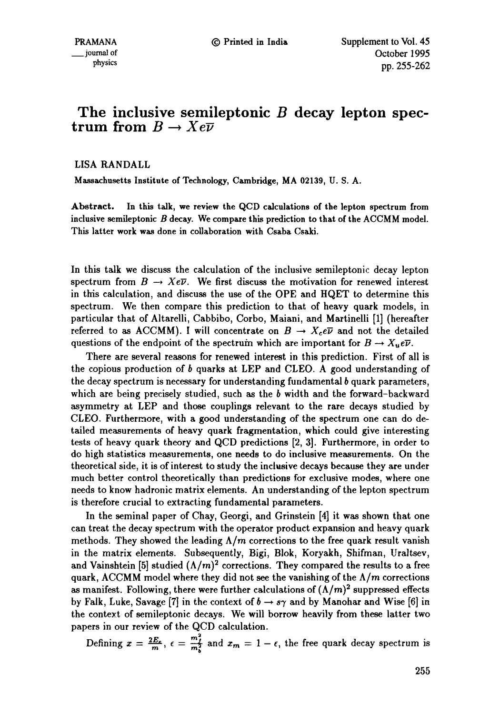## **The inclusive semileptonic B decay lepton spectrum from**  $B \to Xe\overline{\nu}$

LISA RANDALL

Massachusetts **Institute of** Technology, Cambridge, MA 02139, U. S. A.

Abstract. In this talk, we review the QCD calculations **of the** lepton spectrum **from**  inclusive semileptonic B decay. We compare this prediction **to that of the** ACCMM model. This latter work was done in collaboration with Csaba Csaki.

In this talk we discuss the calculation of the inclusive semileptonic decay lepton spectrum from  $B \to Xe\overline{\nu}$ . We first discuss the motivation for renewed interest in this calculation, and discuss the use of the OPE and HQET to determine this spectrum. We then compare this prediction to that of heavy quark models, in particular that of Altarelli, Cabbibo, Corbo, Maiani, and Martinelli [1] (hereafter referred to as ACCMM). I will concentrate on  $B \to X_c e\overline{\nu}$  and not the detailed questions of the endpoint of the spectrum which are important for  $B \to X_u e \overline{\nu}$ .

There are several reasons for renewed interest in this prediction. First of all is the copious production of b quarks at LEP and *CLEO.* A good understanding of the decay spectrum is necessary for understanding fundamental  $b$  quark parameters, which are being precisely studied, such as the  $b$  width and the forward-backward asymmetry at LEP and those couplings relevant to the rare decays studied by CLEO. Furthermore, with a good understanding of the spectrum one can do detailed measurements of heavy quark fragmentation, which could give interesting tests of heavy quark theory and QCD predictions [2, 3]. Furthermore, in order to do high statistics measurements, one needs to do inclusive measurements. On the theoretical side, it is of interest to study the inclusive decays because they are under much better control theoretically than predictions for exclusive modes, where one needs to know hadronic matrix elements. An understanding of the lepton spectrum is therefore crucial to extracting fundamental parameters.

In the seminal paper of Chay, Georgi, and Grinstein [4] it was shown that one can treat the decay spectrum with the operator product expansion and heavy quark methods. They showed the leading  $\Lambda/m$  corrections to the free quark result vanish in the matrix elements. Subsequently, Bigi, Blok, Koryakh, Shifman, Uraltsev, and Vainshtein [5] studied  $(\Lambda/m)^2$  corrections. They compared the results to a free quark, ACCMM model where they did not see the vanishing of the  $\Lambda/m$  corrections as manifest. Following, there were further calculations of  $(\Lambda/m)^2$  suppressed effects by Falk, Luke, Savage [7] in the context of  $b \to s\gamma$  and by Manohar and Wise [6] in the context of semileptonic decays. We will borrow heavily from these latter two papers in our review of the QCD calculation.

Defining  $x = \frac{2E_c}{m}$ ,  $\epsilon = \frac{m_f^2}{m_b^2}$  and  $x_m = 1 - \epsilon$ , the free quark decay spectrum is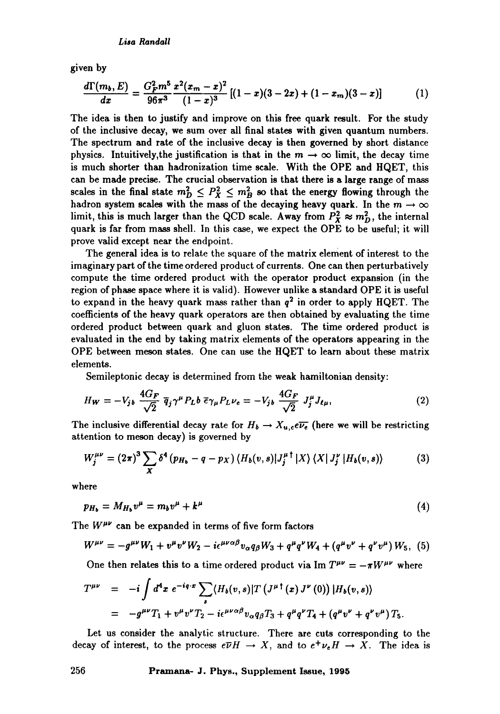given by

$$
\frac{d\Gamma(m_b,E)}{dx} = \frac{G_F^2 m^5}{96\pi^3} \frac{x^2(x_m-x)^2}{(1-x)^3} \left[ (1-x)(3-2x) + (1-x_m)(3-x) \right] \tag{1}
$$

The idea is then to justify and improve on this free quark result. For the study of the inclusive decay, we sum over all final states with given quantum numbers. The spectrum and rate of the inclusive decay is then governed by short distance physics. Intuitively, the justification is that in the  $m \to \infty$  limit, the decay time is much shorter than hadronization time scale. With the OPE and HQET, this can be made precise. The crucial observation is that there is a large range of mass scales in the final state  $m_D^2 \leq P_X^2 \leq m_B^2$  so that the energy flowing through the hadron system scales with the mass of the decaying heavy quark. In the  $m \to \infty$ limit, this is much larger than the QCD scale. Away from  $P_X^2 \approx m_D^2$ , the internal quark is far from mass shell. In this case, we expect the OPE to be useful; it will prove valid except near the endpoint.

The general idea is to relate the square of the matrix element of interest to the imaginary part of the time ordered product of currents. One can then perturbatively compute the time ordered product with the operator product expansion (in the region of phase space where it is valid). However unlike a standard OPE it is useful to expand in the heavy quark mass rather than  $q^2$  in order to apply HQET. The coefficients of the heavy quark operators are then obtained by evaluating the time ordered product between quark and gluon states. The time ordered product is evaluated in the end by taking matrix elements of the operators appearing in the OPE between meson states. One can use the HQET to learn about these matrix elements.

Semileptonic decay is determined from the weak hamiltonian density:

$$
H_W = -V_{jb} \frac{4G_F}{\sqrt{2}} \bar{q}_j \gamma^\mu P_L b \bar{\epsilon} \gamma_\mu P_L \nu_e = -V_{jb} \frac{4G_F}{\sqrt{2}} J_j^\mu J_{\ell\mu}, \qquad (2)
$$

The inclusive differential decay rate for  $H_b \to X_{u,c}e\overline{\nu_e}$  (here we will be restricting attention to meson decay) is governed by

$$
W_j^{\mu\nu} = (2\pi)^3 \sum_X \delta^4 (p_{H_b} - q - p_X) \left\langle H_b(v, s) | J_j^{\mu \dagger} | X \right\rangle \left\langle X | J_j^{\nu} | H_b(v, s) \right\rangle \tag{3}
$$

where

$$
p_{H_b} = M_{H_b} v^{\mu} = m_b v^{\mu} + k^{\mu} \tag{4}
$$

The  $W^{\mu\nu}$  can be expanded in terms of five form factors

$$
W^{\mu\nu} = -g^{\mu\nu}W_1 + v^{\mu}v^{\nu}W_2 - i\epsilon^{\mu\nu\alpha\beta}v_{\alpha}q_{\beta}W_3 + q^{\mu}q^{\nu}W_4 + (q^{\mu}v^{\nu} + q^{\nu}v^{\mu})W_5, (5)
$$

One then relates this to a time ordered product via Im  $T^{\mu\nu} = -\pi W^{\mu\nu}$  where

$$
T^{\mu\nu} = -i \int d^4x \ e^{-iq \cdot x} \sum_{s} \langle H_b(v,s) | T (J^{\mu \dagger}(x) J^{\nu}(0)) | H_b(v,s) \rangle
$$
  
=  $-g^{\mu\nu} T_1 + v^{\mu} v^{\nu} T_2 - i \epsilon^{\mu\nu\alpha\beta} v_{\alpha} q_{\beta} T_3 + q^{\mu} q^{\nu} T_4 + (q^{\mu} v^{\nu} + q^{\nu} v^{\mu}) T_5.$ 

Let us consider the analytic structure. There are cuts corresponding to the decay of interest, to the process  $e\overline{\nu}H \rightarrow X$ , and to  $e^+\nu_e H \rightarrow X$ . The idea is

**256 PrAmana- J. Phys., Supplement Issue, 1995**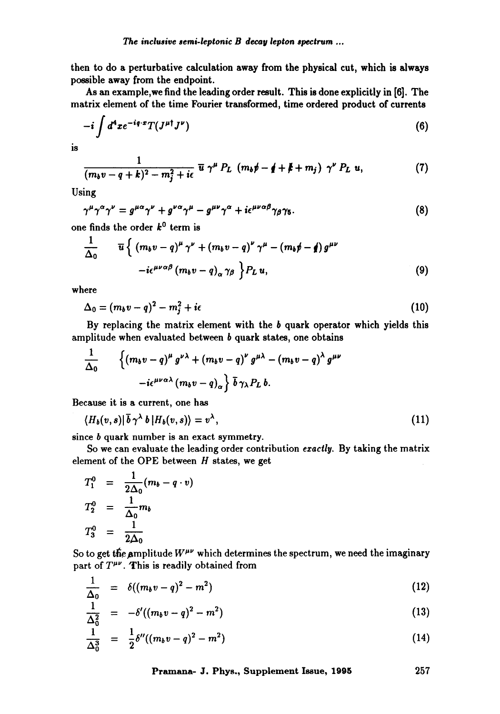then to do a perturbative calculation away from the physical cut, which is always possible away from the endpoint.

As an example,we find the leading order result. This is done explicitly in [6]. The matrix element of the time Fourier transformed, time ordered product of currents

$$
-i\int d^4xe^{-iq\cdot x}T(J^{\mu\dagger}J^{\nu})\tag{6}
$$

is

$$
\frac{1}{(m_b v-q+k)^2-m_j^2+i\epsilon} \overline{u} \gamma^{\mu} P_L (m_b \not p-\not q+\not k+m_j) \gamma^{\nu} P_L u,
$$
 (7)

Using

$$
\gamma^{\mu}\gamma^{\alpha}\gamma^{\nu} = g^{\mu\alpha}\gamma^{\nu} + g^{\nu\alpha}\gamma^{\mu} - g^{\mu\nu}\gamma^{\alpha} + i\epsilon^{\mu\nu\alpha\beta}\gamma_{\beta}\gamma_{5}.
$$
\n(8)

one finds the order  $k^0$  term is

$$
\frac{1}{\Delta_0} \qquad \overline{u} \left\{ \left( (m_b v - q)^{\mu} \gamma^{\nu} + (m_b v - q)^{\nu} \gamma^{\mu} - (m_b \rlap/v - q) g^{\mu \nu} \right. \\ \left. - i \epsilon^{\mu \nu \alpha \beta} \left( m_b v - q \right)_{\alpha} \gamma_{\beta} \right\} P_L u, \tag{9} \right\}
$$

where

$$
\Delta_0 = (m_b v - q)^2 - m_j^2 + i\epsilon \tag{10}
$$

By replacing the matrix element with the  $b$  quark operator which yields this amplitude when evaluated between b quark states, one obtains

$$
\frac{1}{\Delta_0} \qquad \left\{ \left( m_b v - q \right)^{\mu} g^{\nu \lambda} + \left( m_b v - q \right)^{\nu} g^{\mu \lambda} - \left( m_b v - q \right)^{\lambda} g^{\mu \nu} - i \epsilon^{\mu \nu \alpha \lambda} \left( m_b v - q \right)_{\alpha} \right\} \bar{b} \gamma_{\lambda} P_L b.
$$

Because it is a current, one has

$$
\langle H_b(v,s)|\overline{b}\,\gamma^{\lambda}\,b\,|H_b(v,s)\rangle=v^{\lambda},\qquad \qquad (11)
$$

since *b* quark number is an exact symmetry.

So we can evaluate the leading order contribution *exactly.* By taking the matrix element of the OPE between  $H$  states, we get

$$
T_1^0 = \frac{1}{2\Delta_0}(m_b - q \cdot v)
$$
  
\n
$$
T_2^0 = \frac{1}{\Delta_0}m_b
$$
  
\n
$$
T_3^0 = \frac{1}{2\Delta_0}
$$

So to get the amplitude  $W^{\mu\nu}$  which determines the spectrum, we need the imaginary part of  $T^{\mu\nu}$ . This is readily obtained from

$$
\frac{1}{\Delta_0} = \delta((m_b v - q)^2 - m^2) \tag{12}
$$

$$
\frac{1}{\Delta_0^2} = -\delta'((m_b v - q)^2 - m^2) \tag{13}
$$

$$
\frac{1}{\Delta_0^3} = \frac{1}{2}\delta''((m_b v - q)^2 - m^2)
$$
 (14)

**Pramana- J. Phys., Supplement Issue, 1995 257**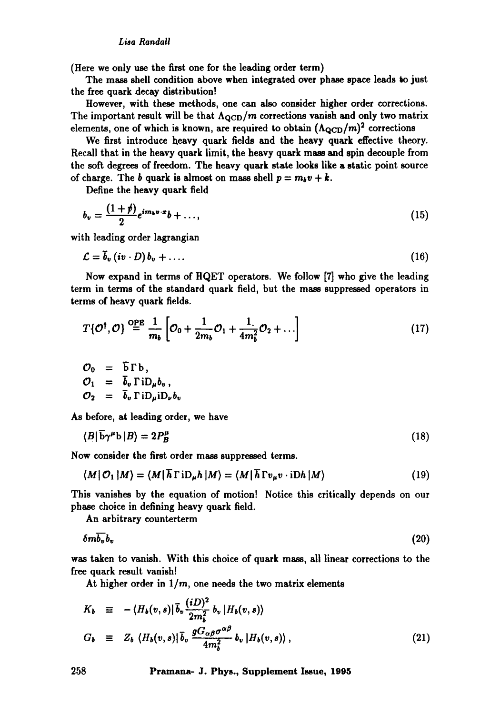*Lisa Randall* 

(Here we only use the first one for the leading order term)

The mass shell condition above when integrated over phase space leads to just the free quark decay distribution!

However, with these methods, one can also consider higher order corrections. The important result will be that  $\Lambda_{\text{QCD}}/m$  corrections vanish and only two matrix elements, one of which is known, are required to obtain  $(\Lambda_{\text{QCD}}/m)^2$  corrections

We first introduce heavy quark fields and the heavy quark effective theory. Recall that in the heavy quark limit, the heavy quark mass and spin decouple from the soft degrees of freedom. The heavy quark state looks like a static point source of charge. The b quark is almost on mass shell  $p = m_b v + k$ .

Define the heavy quark field

$$
b_v = \frac{(1+\rlap/v)}{2}e^{im_b v \cdot x}b + \ldots,\tag{15}
$$

with leading order lagrangian

$$
\mathcal{L} = \overline{b}_v \left( i v \cdot D \right) b_v + \dots \tag{16}
$$

Now expand in terms of HQET operators. We follow [7] who give the leading term in terms of the standard quark field, but the mass suppressed operators in terms of heavy quark fields.

$$
T\{\mathcal{O}^{\dagger},\mathcal{O}\}\stackrel{\mathrm{OPE}}{=} \frac{1}{m_b}\left[\mathcal{O}_0 + \frac{1}{2m_b}\mathcal{O}_1 + \frac{1}{4m_b^2}\mathcal{O}_2 + \ldots\right]
$$
(17)

$$
\begin{array}{rcl}\n\mathcal{O}_0 & = & \overline{b} \Gamma b, \\
\mathcal{O}_1 & = & \overline{b}_v \Gamma i D_\mu b_v, \\
\mathcal{O}_2 & = & \overline{b}_v \Gamma i D_\mu i D_\nu b_v\n\end{array}
$$

As before, at leading order, we have

$$
\langle B|\overline{\mathbf{b}}\gamma^{\mu}\mathbf{b}|B\rangle = 2P_{B}^{\mu} \tag{18}
$$

Now consider the first order mass suppressed terms.

 $\sim$ 

$$
\langle M | O_1 | M \rangle = \langle M | \overline{h} \Gamma i D_{\mu} h | M \rangle = \langle M | \overline{h} \Gamma v_{\mu} v \cdot i D h | M \rangle \tag{19}
$$

This vanishes by the equation of motion! Notice this critically depends on our phase choice in defining heavy quark field.

An arbitrary counterterm

$$
\delta m \overline{b_v} b_v \tag{20}
$$

was taken to vanish. With this choice of quark mass, all linear corrections to the free quark result vanish!

At higher order in  $1/m$ , one needs the two matrix elements

$$
K_b \equiv -\langle H_b(v,s)|\bar{b}_v \frac{(iD)^2}{2m_b^2} b_v |H_b(v,s) \rangle
$$
  
\n
$$
G_b \equiv Z_b \langle H_b(v,s)|\bar{b}_v \frac{g G_{\alpha\beta} \sigma^{\alpha\beta}}{4m_b^2} b_v |H_b(v,s) \rangle,
$$
\n(21)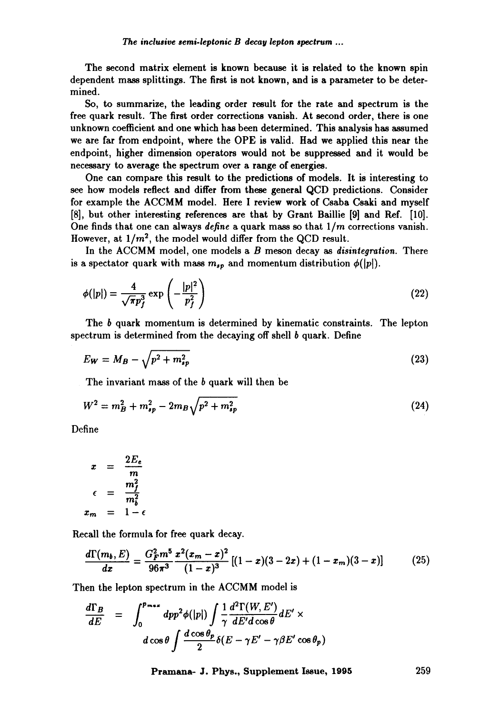The second matrix element is known because it is related to the known spin dependent mass splittings. The first is not known, and is a parameter to be determined.

So, to summarize, the leading order result for the rate and spectrum is the free quark result. The first order corrections vanish. At second order, there is one unknown coefficient and one which has been determined. This analysis has assumed we are far from endpoint, where the OPE is valid. Had we applied this near the endpoint, higher dimension operators would not be suppressed and it would be necessary to average the spectrum over a range of energies.

One can compare this result to the predictions of models. It is interesting to see how models reflect and differ from these general QCD predictions. Consider for example the ACCMM model. Here I review work of Csaba Csaki and myself [8], but other interesting references are that by Grant Baillie [9] and Ref. [10]. One finds that one can always *define* a quark mass so that *1/m* corrections vanish. However, at  $1/m^2$ , the model would differ from the QCD result.

In the ACCMM model, one models a B meson decay as *disintegration.* There is a spectator quark with mass  $m_{s,p}$  and momentum distribution  $\phi(|p|)$ .

$$
\phi(|p|) = \frac{4}{\sqrt{\pi}p_f^3} \exp\left(-\frac{|p|^2}{p_f^2}\right) \tag{22}
$$

The b quark momentum is determined by kinematic constraints. The lepton spectrum is determined from the decaying off shell  $b$  quark. Define

$$
E_W = M_B - \sqrt{p^2 + m_{sp}^2} \tag{23}
$$

The invariant mass of the b quark will then be

$$
W^2 = m_B^2 + m_{sp}^2 - 2m_B \sqrt{p^2 + m_{sp}^2}
$$
 (24)

Define

$$
x = \frac{2E_e}{m}
$$

$$
\epsilon = \frac{m_f^2}{m_b^2}
$$

$$
x_m = 1 - \epsilon
$$

Recall the formula for free quark decay.

$$
\frac{d\Gamma(m_b, E)}{dx} = \frac{G_F^2 m^5}{96\pi^3} \frac{x^2(x_m - x)^2}{(1 - x)^3} \left[ (1 - x)(3 - 2x) + (1 - x_m)(3 - x) \right] \tag{25}
$$

Then the lepton spectrum in the ACCMM model is

$$
\frac{d\Gamma_B}{dE} = \int_0^{p_{\text{max}}} dp p^2 \phi(|p|) \int \frac{1}{\gamma} \frac{d^2 \Gamma(W, E')}{dE' d \cos \theta} dE' \times d \cos \theta \int \frac{d \cos \theta_p}{2} \delta(E - \gamma E' - \gamma \beta E' \cos \theta_p)
$$

**Pramana- J. Phys., Supplement Issue, 1995 259**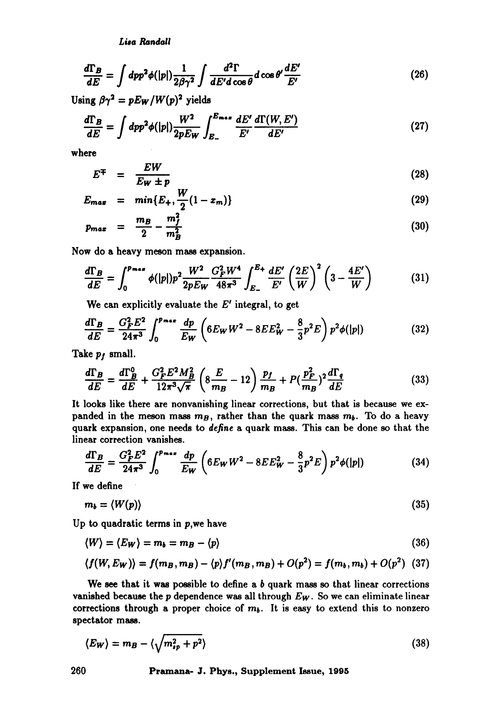*Lisa Randall* 

$$
\frac{d\Gamma_B}{dE} = \int dp p^2 \phi(|p|) \frac{1}{2\beta\gamma^2} \int \frac{d^2 \Gamma}{dE' d\cos\theta} d\cos\theta' \frac{dE'}{E'}
$$
(26)

Using  $\beta \gamma^2 = pE_W/W(p)^2$  yields

$$
\frac{d\Gamma_B}{dE} = \int dp p^2 \phi(|p|) \frac{W^2}{2pE_W} \int_{E_-}^{E_{max}} \frac{dE'}{E'} \frac{d\Gamma(W, E')}{dE'} \tag{27}
$$

where

$$
E^{\mp} = \frac{EW}{E_W \pm p} \tag{28}
$$

$$
E_{max} = min\{E_+, \frac{W}{2}(1-x_m)\}\tag{29}
$$

$$
p_{max} = \frac{m_B}{2} - \frac{m_f^2}{m_B^2} \tag{30}
$$

Now do a heavy meson mass expansion.

$$
\frac{d\Gamma_B}{dE} = \int_0^{p_{max}} \phi(|p|) p^2 \frac{W^2}{2pE_W} \frac{G_F^2 W^4}{48\pi^3} \int_{E_-}^{E_+} \frac{dE'}{E'} \left(\frac{2E}{W}\right)^2 \left(3 - \frac{4E'}{W}\right) \tag{31}
$$

We can explicitly evaluate the  $E'$  integral, to get

$$
\frac{d\Gamma_B}{dE} = \frac{G_F^2 E^2}{24\pi^3} \int_0^{p_{max}} \frac{dp}{E_W} \left( 6E_W W^2 - 8E E_W^2 - \frac{8}{3} p^2 E \right) p^2 \phi(|p|)
$$
(32)

Take  $p_f$  small.

$$
\frac{d\Gamma_B}{dE} = \frac{d\Gamma_B^0}{dE} + \frac{G_F^2 E^2 M_B^2}{12\pi^3 \sqrt{\pi}} \left( 8\frac{E}{m_B} - 12 \right) \frac{p_f}{m_B} + P\left(\frac{p_F^2}{m_B}\right)^2 \frac{d\Gamma_q}{dE}
$$
(33)

It looks like there are nonvanishing linear corrections, but that is because we expanded in the meson mass  $m_B$ , rather than the quark mass  $m_b$ . To do a heavy quark expansion, one needs to define a quark mass. This can be done so that the linear correction vanishes.

$$
\frac{d\Gamma_B}{dE} = \frac{G_F^2 E^2}{24\pi^3} \int_0^{p_{max}} \frac{dp}{E_W} \left( 6E_W W^2 - 8E E_W^2 - \frac{8}{3} p^2 E \right) p^2 \phi(|p|) \tag{34}
$$

If we define

$$
m_b = \langle W(p) \rangle \tag{35}
$$

Up to quadratic terms in  $p$ , we have

$$
\langle W \rangle = \langle E_W \rangle = m_b = m_B - \langle p \rangle \tag{36}
$$

$$
\langle f(W, E_W) \rangle = f(m_B, m_B) - \langle p \rangle f'(m_B, m_B) + O(p^2) = f(m_b, m_b) + O(p^2)
$$
 (37)

We see that it was possible to define a  $b$  quark mass so that linear corrections vanished because the p dependence was all through *Ew.* So we can eliminate linear corrections through a proper choice of  $m<sub>b</sub>$ . It is easy to extend this to nonzero spectator mass.

$$
\langle E_W \rangle = m_B - \langle \sqrt{m_{sp}^2 + p^2} \rangle \tag{38}
$$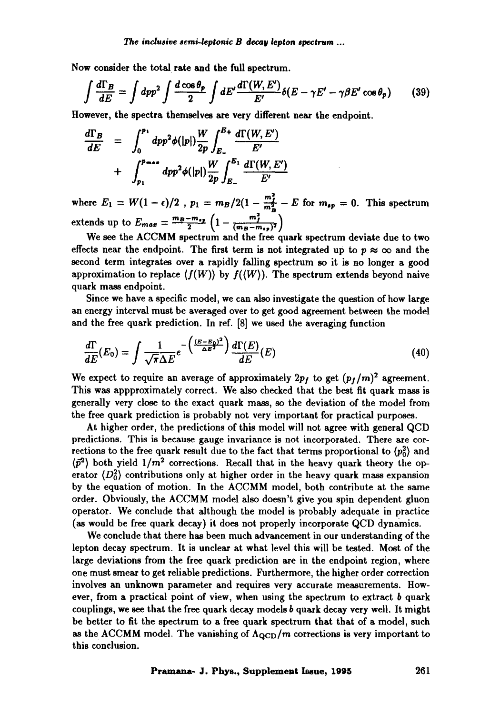Now consider the total rate and the full spectrum.

$$
\int \frac{d\Gamma_B}{dE} = \int dp p^2 \int \frac{d\cos\theta_p}{2} \int dE' \frac{d\Gamma(W, E')}{E'} \delta(E - \gamma E' - \gamma \beta E' \cos\theta_p) \tag{39}
$$

However, the spectra themselves are very different near the endpoint.

$$
\frac{d\Gamma_B}{dE} = \int_0^{p_1} dp p^2 \phi(|p|) \frac{W}{2p} \int_{E_-}^{E_+} \frac{d\Gamma(W, E')}{E'} + \int_{p_1}^{p_{\text{max}}} dp p^2 \phi(|p|) \frac{W}{2p} \int_{E_-}^{E_1} \frac{d\Gamma(W, E')}{E'}
$$

where  $E_1 = W(1 - \epsilon)/2$ ,  $p_1 = m_B/2(1 - \frac{m_f}{m_f^2} - E$  for  $m_{sp} = 0$ . This spectrum extends up to  $E_{max} = \frac{m_B - m_{sp}}{2} \left(1 - \frac{m_f}{(m_B - m_{sp})^2}\right)$ 

We see the ACCMM spectrum and the free quark spectrum deviate due to two effects near the endpoint. The first term is not integrated up to  $p \approx \infty$  and the second term integrates over a rapidly falling spectrum so it is no longer a good approximation to replace  $\langle f(W) \rangle$  by  $f(\langle W \rangle)$ . The spectrum extends beyond naive quark mass endpoint.

Since we have a specific model, we can also investigate the question of how large an energy interval must be averaged over to get good agreement between the model and the free quark prediction. In ref. [8] we used the averaging function

$$
\frac{d\Gamma}{dE}(E_0) = \int \frac{1}{\sqrt{\pi}\Delta E} e^{-\left(\frac{(E-E_0)^2}{\Delta E^2}\right)} \frac{d\Gamma(E)}{dE}(E) \tag{40}
$$

We expect to require an average of approximately  $2p_f$  to get  $(p_f/m)^2$  agreement. This was appproximately correct. We also checked that the best fit quark mass is generally very close to the exact quark mass, so the deviation of the model from the free quark prediction is probably not very important for practical purposes.

At higher order, the predictions of this model will not agree with general QCD predictions. This is because gauge invariance is not incorporated. There are corrections to the free quark result due to the fact that terms proportional to  $\langle p_0^2 \rangle$  and  $\langle \vec{p}^2 \rangle$  both yield  $1/m^2$  corrections. Recall that in the heavy quark theory the operator  $\langle D_0^2 \rangle$  contributions only at higher order in the heavy quark mass expansion by the equation of motion. In the ACCMM model, both contribute at the same order. Obviously, the ACCMM model also doesn't give you spin dependent gluon operator. We conclude that although the model is probably adequate in practice (as would be free quark decay) it does not properly incorporate QCD dynamics.

We conclude that there has been much advancement in our understanding of the lepton decay spectrum. It is unclear at what level this will be tested. Most of the large deviations from the free quark prediction are in the endpoint region, where one must smear to get reliable predictions. Furthermore, the higher order correction involves an unknown parameter and requires very accurate measurements. However, from a practical point of view, when using the spectrum to extract  $b$  quark couplings, we see that the free quark decay models b quark decay very well. It might be better to fit the spectrum to a free quark spectrum that that of a model, such as the ACCMM model. The vanishing of  $\Lambda_{\rm QCD}/m$  corrections is very important to this conclusion.